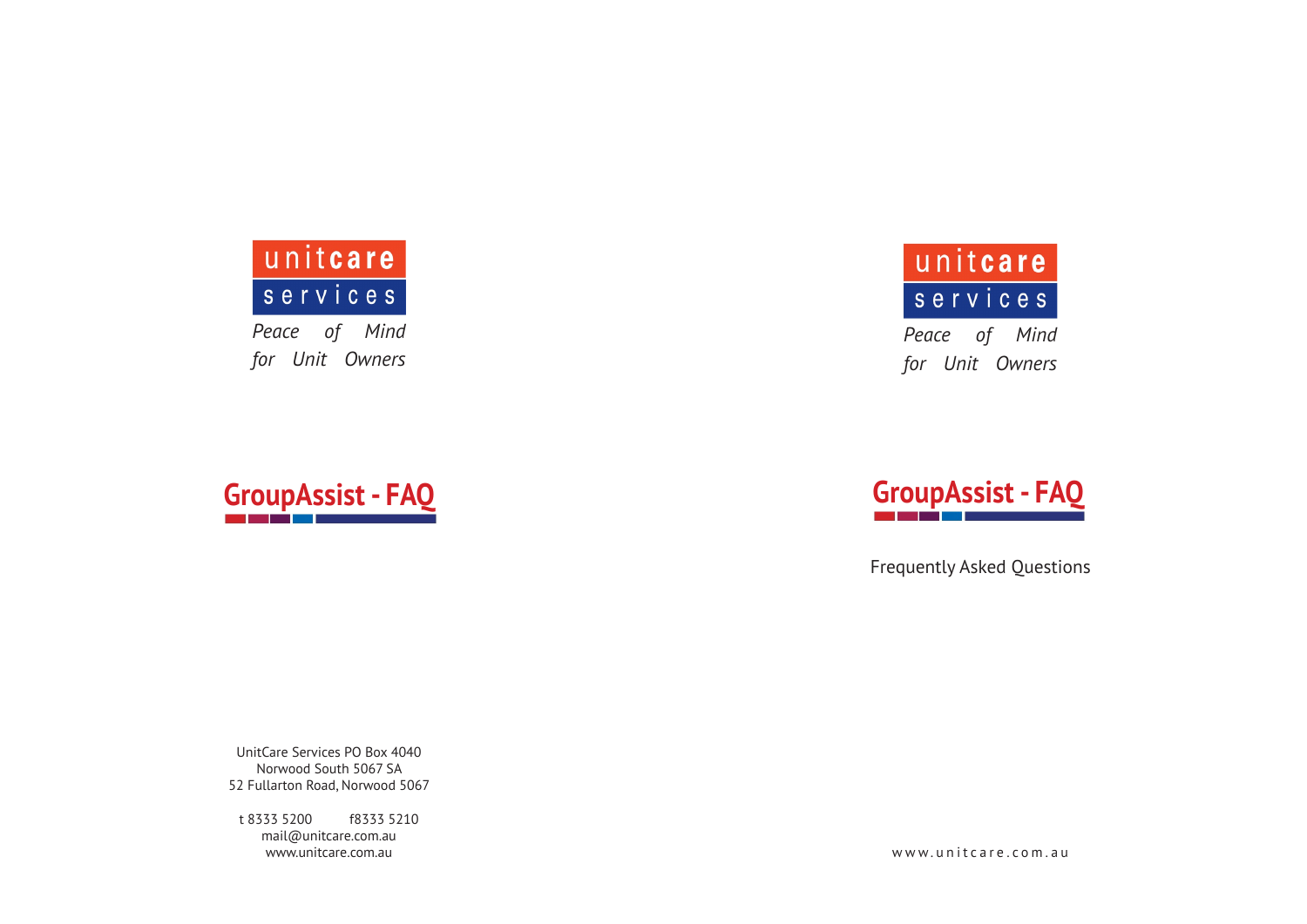

*Peace of Mind for Unit Owners*

# unitcare services

*Peace of Mind for Unit Owners*





Frequently Asked Questions

UnitCare Services PO Box 4040 Norwood South 5067 SA 52 Fullarton Road, Norwood 5067

t 8333 5200 f8333 5210 mail@unitcare.com.au www.unitcare.com.au

www.unitcare.com.au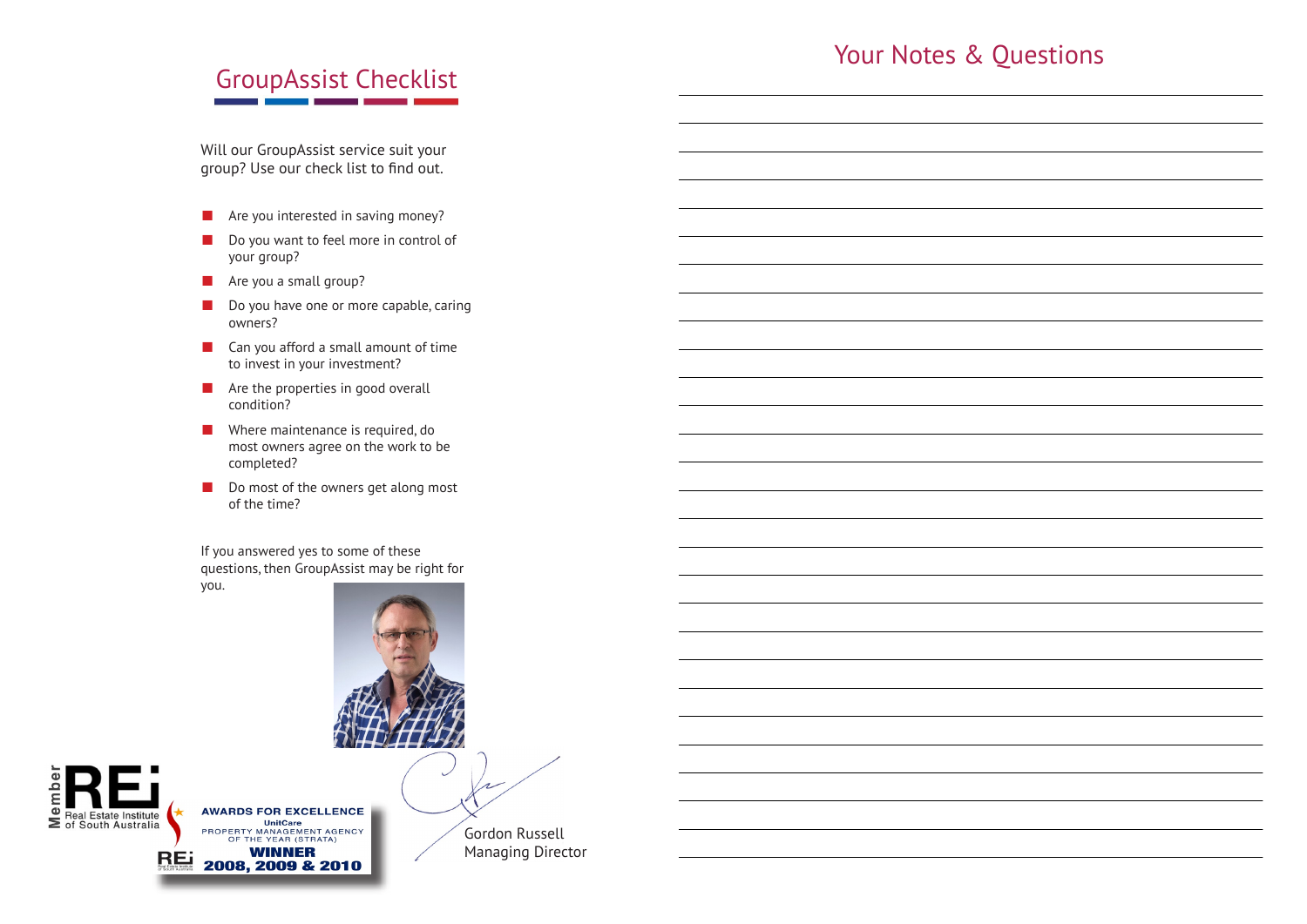### Your Notes & Questions

## GroupAssist Checklist

Will our GroupAssist service suit your group? Use our check list to find out.

- $\blacksquare$  Are you interested in saving money?
- Do you want to feel more in control of your group?
- $\blacksquare$  Are you a small group?
- Do you have one or more capable, caring owners?
- $\blacksquare$  Can you afford a small amount of time to invest in your investment?
- $\blacksquare$  Are the properties in good overall condition?
- $\blacksquare$  Where maintenance is required, do most owners agree on the work to be completed?
- Do most of the owners get along most of the time?

If you answered yes to some of these questions, then GroupAssist may be right for you.





**AWARDS FOR EXCELLENCE** THE VERSUS TRANSPORTED THE VERSUS PROPERTY MANAGEMENT AGENCY<br>OF THE YEAR (STRATA) **REI** 2008, 2009 & 2010

Gordon Russell Managing Director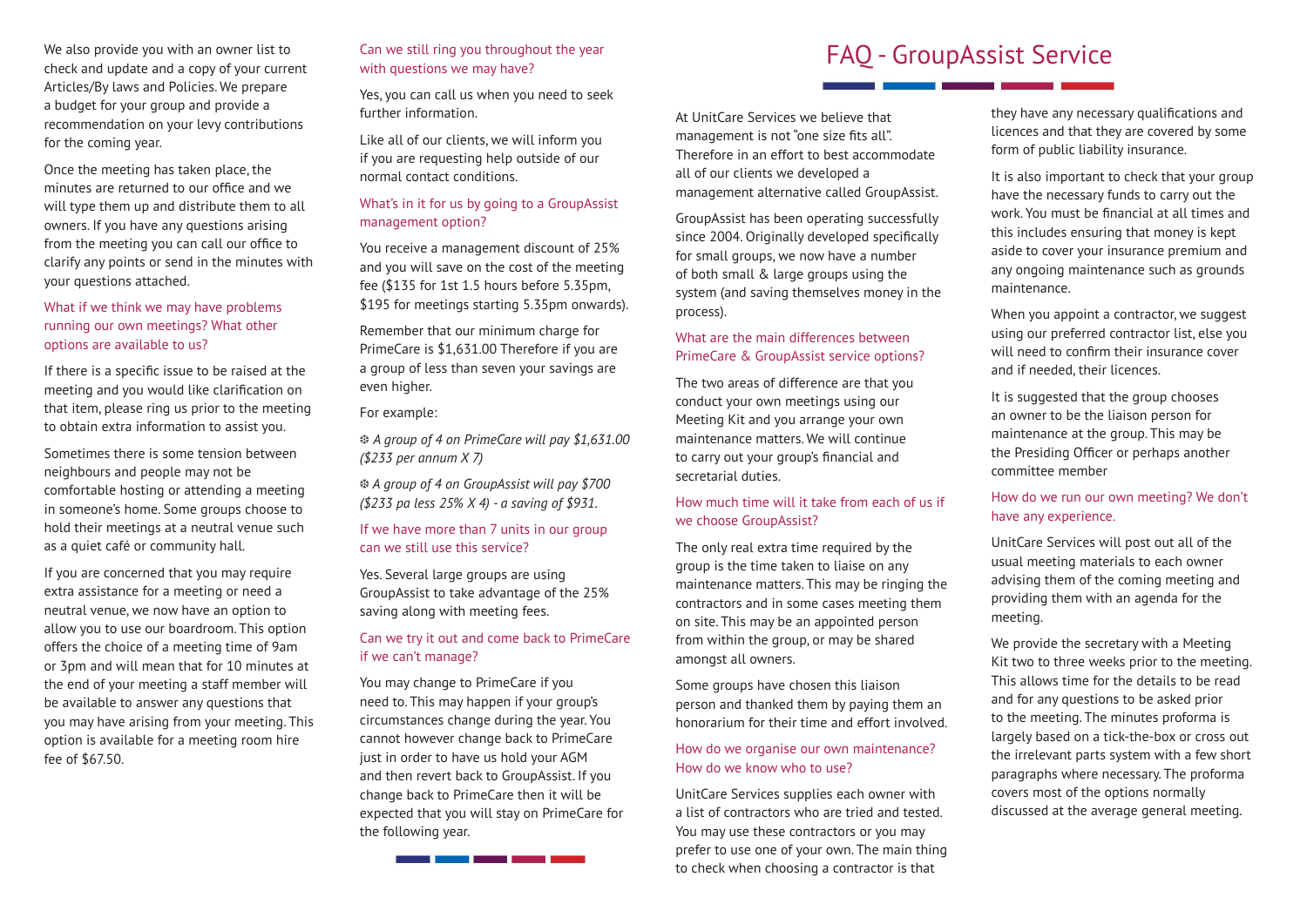We also provide you with an owner list to check and update and a copy of your current Articles/By laws and Policies. We prepare a budget for your group and provide a recommendation on your levy contributions for the coming year.

Once the meeting has taken place, the minutes are returned to our office and we will type them up and distribute them to all owners. If you have any questions arising from the meeting you can call our office to clarify any points or send in the minutes with your questions attached.

#### What if we think we may have problems running our own meetings? What other options are available to us?

If there is a specific issue to be raised at the meeting and you would like clarification on that item, please ring us prior to the meeting to obtain extra information to assist you.

Sometimes there is some tension between neighbours and people may not be comfortable hosting or attending a meeting in someone's home. Some groups choose to hold their meetings at a neutral venue such as a quiet café or community hall.

If you are concerned that you may require extra assistance for a meeting or need a neutral venue, we now have an option to allow you to use our boardroom. This option offers the choice of a meeting time of 9am or 3pm and will mean that for 10 minutes at the end of your meeting a staff member will be available to answer any questions that you may have arising from your meeting. This option is available for a meeting room hire fee of \$67.50.

#### Can we still ring you throughout the year with questions we may have?

Yes, you can call us when you need to seek further information.

Like all of our clients, we will inform you if you are requesting help outside of our normal contact conditions.

#### What's in it for us by going to a GroupAssist management option?

You receive a management discount of 25% and you will save on the cost of the meeting fee (\$135 for 1st 1.5 hours before 5.35pm, \$195 for meetings starting 5.35pm onwards).

Remember that our minimum charge for PrimeCare is \$1,631.00 Therefore if you are a group of less than seven your savings are even higher.

#### For example:

f *A group of 4 on PrimeCare will pay \$1,631.00 (\$233 per annum X 7)*

f *A group of 4 on GroupAssist will pay \$700 (\$233 pa less 25% X 4) - a saving of \$931.*

#### If we have more than 7 units in our group can we still use this service?

Yes. Several large groups are using GroupAssist to take advantage of the 25% saving along with meeting fees.

#### Can we try it out and come back to PrimeCare if we can't manage?

You may change to PrimeCare if you need to. This may happen if your group's circumstances change during the year. You cannot however change back to PrimeCare just in order to have us hold your AGM and then revert back to GroupAssist. If you change back to PrimeCare then it will be expected that you will stay on PrimeCare for the following year.

### FAQ - GroupAssist Service

At UnitCare Services we believe that management is not "one size fits all". Therefore in an effort to best accommodate all of our clients we developed a management alternative called GroupAssist.

GroupAssist has been operating successfully since 2004. Originally developed specifically for small groups, we now have a number of both small & large groups using the system (and saving themselves money in the process).

#### What are the main differences between PrimeCare & GroupAssist service options?

The two areas of difference are that you conduct your own meetings using our Meeting Kit and you arrange your own maintenance matters. We will continue to carry out your group's financial and secretarial duties.

#### How much time will it take from each of us if we choose GroupAssist?

The only real extra time required by the group is the time taken to liaise on any maintenance matters. This may be ringing the contractors and in some cases meeting them on site. This may be an appointed person from within the group, or may be shared amongst all owners.

Some groups have chosen this liaison person and thanked them by paying them an honorarium for their time and effort involved.

#### How do we organise our own maintenance? How do we know who to use?

UnitCare Services supplies each owner with a list of contractors who are tried and tested. You may use these contractors or you may prefer to use one of your own. The main thing to check when choosing a contractor is that

they have any necessary qualifications and licences and that they are covered by some form of public liability insurance.

It is also important to check that your group have the necessary funds to carry out the work. You must be financial at all times and this includes ensuring that money is kept aside to cover your insurance premium and any ongoing maintenance such as grounds maintenance.

When you appoint a contractor, we suggest using our preferred contractor list, else you will need to confirm their insurance cover and if needed, their licences.

It is suggested that the group chooses an owner to be the liaison person for maintenance at the group. This may be the Presiding Officer or perhaps another committee member

#### How do we run our own meeting? We don't have any experience.

UnitCare Services will post out all of the usual meeting materials to each owner advising them of the coming meeting and providing them with an agenda for the meeting.

We provide the secretary with a Meeting Kit two to three weeks prior to the meeting. This allows time for the details to be read and for any questions to be asked prior to the meeting. The minutes proforma is largely based on a tick-the-box or cross out the irrelevant parts system with a few short paragraphs where necessary. The proforma covers most of the options normally discussed at the average general meeting.